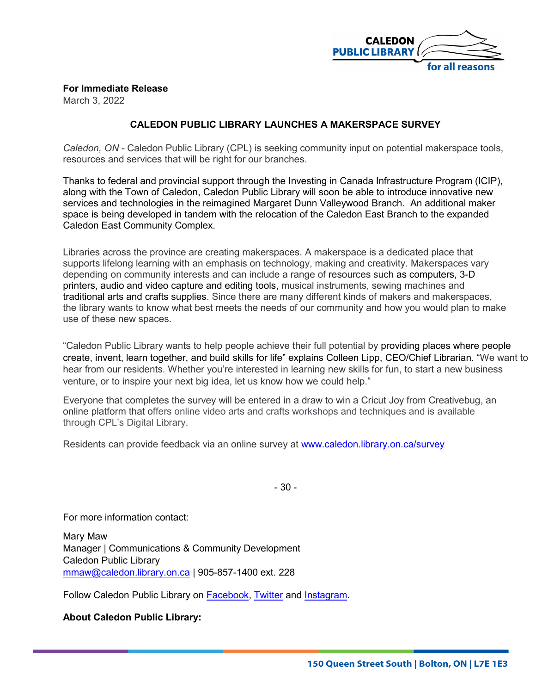

## **For Immediate Release**

March 3, 2022

## **CALEDON PUBLIC LIBRARY LAUNCHES A MAKERSPACE SURVEY**

*Caledon, ON -* Caledon Public Library (CPL) is seeking community input on potential makerspace tools, resources and services that will be right for our branches.

Thanks to federal and provincial support through the Investing in Canada Infrastructure Program (ICIP), along with the Town of Caledon, Caledon Public Library will soon be able to introduce innovative new services and technologies in the reimagined Margaret Dunn Valleywood Branch. An additional maker space is being developed in tandem with the relocation of the Caledon East Branch to the expanded Caledon East Community Complex.

Libraries across the province are creating makerspaces. A makerspace is a dedicated place that supports lifelong learning with an emphasis on technology, making and creativity. Makerspaces vary depending on community interests and can include a range of resources such as computers, 3-D printers, audio and video capture and editing tools, musical instruments, sewing machines and traditional arts and crafts supplies. Since there are many different kinds of makers and makerspaces, the library wants to know what best meets the needs of our community and how you would plan to make use of these new spaces.

"Caledon Public Library wants to help people achieve their full potential by providing places where people create, invent, learn together, and build skills for life" explains Colleen Lipp, CEO/Chief Librarian. "We want to hear from our residents. Whether you're interested in learning new skills for fun, to start a new business venture, or to inspire your next big idea, let us know how we could help."

Everyone that completes the survey will be entered in a draw to win a Cricut Joy from Creativebug, an online platform that offers online video arts and crafts workshops and techniques and is available through CPL's Digital Library.

Residents can provide feedback via an online survey at [www.caledon.library.on.ca/survey](http://www.caledon.library.on.ca/survey)

- 30 -

For more information contact:

Mary Maw Manager | Communications & Community Development Caledon Public Library [mmaw@caledon.library.on.ca](mailto:mmaw@caledon.library.on.ca) | 905-857-1400 ext. 228

Follow Caledon Public Library on [Facebook,](https://www.facebook.com/CaledonPublicLibrary) [Twitter](https://twitter.com/CaledonLibrary) and [Instagram.](https://twitter.com/CaledonLibrary)

**About Caledon Public Library:**